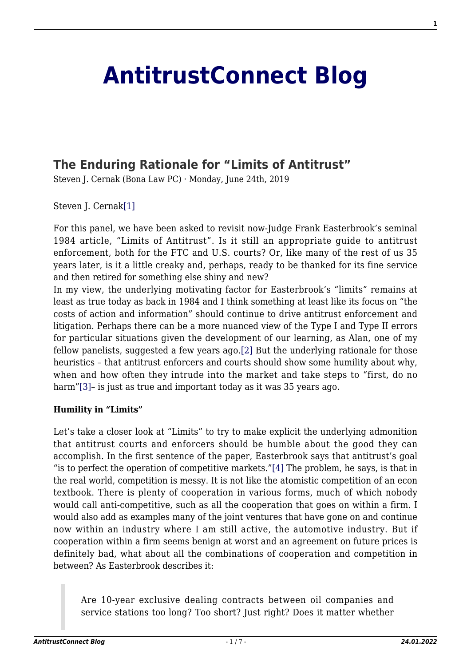# **[AntitrustConnect Blog](http://antitrustconnect.com/)**

## **[The Enduring Rationale for "Limits of Antitrust"](http://antitrustconnect.com/2019/06/24/the-enduring-rationale-for-limits-of-antitrust/)**

Steven J. Cernak (Bona Law PC) · Monday, June 24th, 2019

<span id="page-0-0"></span>Steven J. Cernak<sup>[\[1\]](#page-4-0)</sup>

For this panel, we have been asked to revisit now-Judge Frank Easterbrook's seminal 1984 article, "Limits of Antitrust". Is it still an appropriate guide to antitrust enforcement, both for the FTC and U.S. courts? Or, like many of the rest of us 35 years later, is it a little creaky and, perhaps, ready to be thanked for its fine service and then retired for something else shiny and new?

<span id="page-0-1"></span>In my view, the underlying motivating factor for Easterbrook's "limits" remains at least as true today as back in 1984 and I think something at least like its focus on "the costs of action and information" should continue to drive antitrust enforcement and litigation. Perhaps there can be a more nuanced view of the Type I and Type II errors for particular situations given the development of our learning, as Alan, one of my fellow panelists, suggested a few years ago.[\[2\]](#page-5-0) But the underlying rationale for those heuristics – that antitrust enforcers and courts should show some humility about why, when and how often they intrude into the market and take steps to "first, do no harm"[\[3\]](#page-5-1)- is just as true and important today as it was 35 years ago.

#### <span id="page-0-2"></span>**Humility in "Limits"**

<span id="page-0-3"></span>Let's take a closer look at "Limits" to try to make explicit the underlying admonition that antitrust courts and enforcers should be humble about the good they can accomplish. In the first sentence of the paper, Easterbrook says that antitrust's goal "is to perfect the operation of competitive markets.["\[4\]](#page-5-2) The problem, he says, is that in the real world, competition is messy. It is not like the atomistic competition of an econ textbook. There is plenty of cooperation in various forms, much of which nobody would call anti-competitive, such as all the cooperation that goes on within a firm. I would also add as examples many of the joint ventures that have gone on and continue now within an industry where I am still active, the automotive industry. But if cooperation within a firm seems benign at worst and an agreement on future prices is definitely bad, what about all the combinations of cooperation and competition in between? As Easterbrook describes it:

<span id="page-0-4"></span>Are 10-year exclusive dealing contracts between oil companies and service stations too long? Too short? Just right? Does it matter whether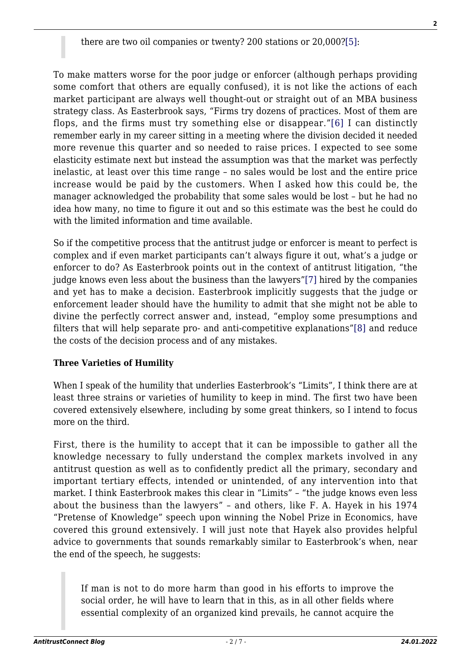<span id="page-1-0"></span>To make matters worse for the poor judge or enforcer (although perhaps providing some comfort that others are equally confused), it is not like the actions of each market participant are always well thought-out or straight out of an MBA business strategy class. As Easterbrook says, "Firms try dozens of practices. Most of them are flops, and the firms must try something else or disappear."[\[6\]](#page-5-4) I can distinctly remember early in my career sitting in a meeting where the division decided it needed more revenue this quarter and so needed to raise prices. I expected to see some elasticity estimate next but instead the assumption was that the market was perfectly inelastic, at least over this time range – no sales would be lost and the entire price increase would be paid by the customers. When I asked how this could be, the manager acknowledged the probability that some sales would be lost – but he had no idea how many, no time to figure it out and so this estimate was the best he could do with the limited information and time available.

<span id="page-1-1"></span>So if the competitive process that the antitrust judge or enforcer is meant to perfect is complex and if even market participants can't always figure it out, what's a judge or enforcer to do? As Easterbrook points out in the context of antitrust litigation, "the judge knows even less about the business than the lawyers"[\[7\]](#page-5-5) hired by the companies and yet has to make a decision. Easterbrook implicitly suggests that the judge or enforcement leader should have the humility to admit that she might not be able to divine the perfectly correct answer and, instead, "employ some presumptions and filters that will help separate pro- and anti-competitive explanations["\[8\]](#page-5-6) and reduce the costs of the decision process and of any mistakes.

### <span id="page-1-2"></span>**Three Varieties of Humility**

When I speak of the humility that underlies Easterbrook's "Limits", I think there are at least three strains or varieties of humility to keep in mind. The first two have been covered extensively elsewhere, including by some great thinkers, so I intend to focus more on the third.

First, there is the humility to accept that it can be impossible to gather all the knowledge necessary to fully understand the complex markets involved in any antitrust question as well as to confidently predict all the primary, secondary and important tertiary effects, intended or unintended, of any intervention into that market. I think Easterbrook makes this clear in "Limits" – "the judge knows even less about the business than the lawyers" – and others, like F. A. Hayek in his 1974 "Pretense of Knowledge" speech upon winning the Nobel Prize in Economics, have covered this ground extensively. I will just note that Hayek also provides helpful advice to governments that sounds remarkably similar to Easterbrook's when, near the end of the speech, he suggests:

If man is not to do more harm than good in his efforts to improve the social order, he will have to learn that in this, as in all other fields where essential complexity of an organized kind prevails, he cannot acquire the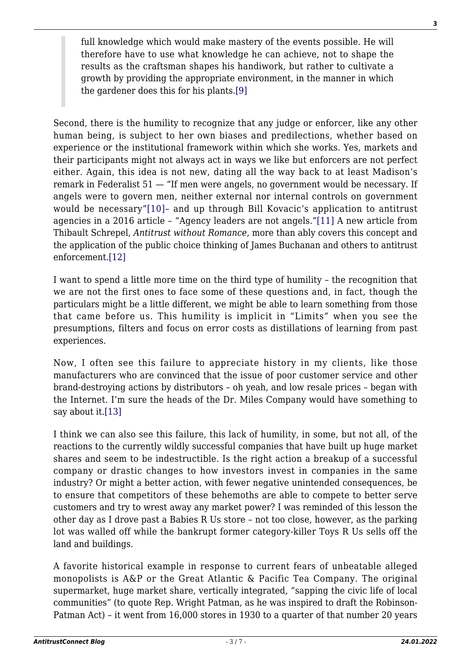full knowledge which would make mastery of the events possible. He will therefore have to use what knowledge he can achieve, not to shape the results as the craftsman shapes his handiwork, but rather to cultivate a growth by providing the appropriate environment, in the manner in which the gardener does this for his plants.[\[9\]](#page-5-7)

<span id="page-2-0"></span>Second, there is the humility to recognize that any judge or enforcer, like any other human being, is subject to her own biases and predilections, whether based on experience or the institutional framework within which she works. Yes, markets and their participants might not always act in ways we like but enforcers are not perfect either. Again, this idea is not new, dating all the way back to at least Madison's remark in Federalist 51 — "If men were angels, no government would be necessary. If angels were to govern men, neither external nor internal controls on government would be necessary"[\[10\]–](#page-5-8) and up through Bill Kovacic's application to antitrust agencies in a 2016 article – "Agency leaders are not angels."[\[11\]](#page-5-9) A new article from Thibault Schrepel, *Antitrust without Romance*, more than ably covers this concept and the application of the public choice thinking of James Buchanan and others to antitrust enforcement.[\[12\]](#page-5-10)

<span id="page-2-3"></span><span id="page-2-2"></span><span id="page-2-1"></span>I want to spend a little more time on the third type of humility – the recognition that we are not the first ones to face some of these questions and, in fact, though the particulars might be a little different, we might be able to learn something from those that came before us. This humility is implicit in "Limits" when you see the presumptions, filters and focus on error costs as distillations of learning from past experiences.

Now, I often see this failure to appreciate history in my clients, like those manufacturers who are convinced that the issue of poor customer service and other brand-destroying actions by distributors – oh yeah, and low resale prices – began with the Internet. I'm sure the heads of the Dr. Miles Company would have something to say about it[.\[13\]](#page-5-11)

<span id="page-2-4"></span>I think we can also see this failure, this lack of humility, in some, but not all, of the reactions to the currently wildly successful companies that have built up huge market shares and seem to be indestructible. Is the right action a breakup of a successful company or drastic changes to how investors invest in companies in the same industry? Or might a better action, with fewer negative unintended consequences, be to ensure that competitors of these behemoths are able to compete to better serve customers and try to wrest away any market power? I was reminded of this lesson the other day as I drove past a Babies R Us store – not too close, however, as the parking lot was walled off while the bankrupt former category-killer Toys R Us sells off the land and buildings.

A favorite historical example in response to current fears of unbeatable alleged monopolists is A&P or the Great Atlantic & Pacific Tea Company. The original supermarket, huge market share, vertically integrated, "sapping the civic life of local communities" (to quote Rep. Wright Patman, as he was inspired to draft the Robinson-Patman Act) – it went from 16,000 stores in 1930 to a quarter of that number 20 years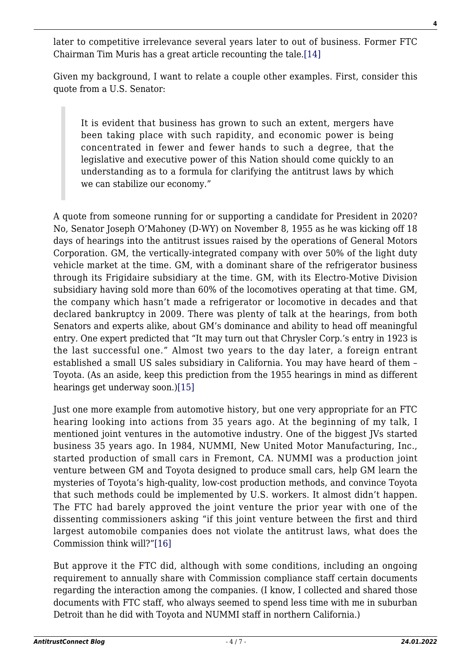<span id="page-3-0"></span>later to competitive irrelevance several years later to out of business. Former FTC Chairman Tim Muris has a great article recounting the tale[.\[14\]](#page-5-12)

Given my background, I want to relate a couple other examples. First, consider this quote from a U.S. Senator:

It is evident that business has grown to such an extent, mergers have been taking place with such rapidity, and economic power is being concentrated in fewer and fewer hands to such a degree, that the legislative and executive power of this Nation should come quickly to an understanding as to a formula for clarifying the antitrust laws by which we can stabilize our economy."

A quote from someone running for or supporting a candidate for President in 2020? No, Senator Joseph O'Mahoney (D-WY) on November 8, 1955 as he was kicking off 18 days of hearings into the antitrust issues raised by the operations of General Motors Corporation. GM, the vertically-integrated company with over 50% of the light duty vehicle market at the time. GM, with a dominant share of the refrigerator business through its Frigidaire subsidiary at the time. GM, with its Electro-Motive Division subsidiary having sold more than 60% of the locomotives operating at that time. GM, the company which hasn't made a refrigerator or locomotive in decades and that declared bankruptcy in 2009. There was plenty of talk at the hearings, from both Senators and experts alike, about GM's dominance and ability to head off meaningful entry. One expert predicted that "It may turn out that Chrysler Corp.'s entry in 1923 is the last successful one." Almost two years to the day later, a foreign entrant established a small US sales subsidiary in California. You may have heard of them – Toyota. (As an aside, keep this prediction from the 1955 hearings in mind as different hearings get underway soon.[\)\[15\]](#page-5-13)

<span id="page-3-1"></span>Just one more example from automotive history, but one very appropriate for an FTC hearing looking into actions from 35 years ago. At the beginning of my talk, I mentioned joint ventures in the automotive industry. One of the biggest JVs started business 35 years ago. In 1984, NUMMI, New United Motor Manufacturing, Inc., started production of small cars in Fremont, CA. NUMMI was a production joint venture between GM and Toyota designed to produce small cars, help GM learn the mysteries of Toyota's high-quality, low-cost production methods, and convince Toyota that such methods could be implemented by U.S. workers. It almost didn't happen. The FTC had barely approved the joint venture the prior year with one of the dissenting commissioners asking "if this joint venture between the first and third largest automobile companies does not violate the antitrust laws, what does the Commission think will?["\[16\]](#page-5-14)

<span id="page-3-2"></span>But approve it the FTC did, although with some conditions, including an ongoing requirement to annually share with Commission compliance staff certain documents regarding the interaction among the companies. (I know, I collected and shared those documents with FTC staff, who always seemed to spend less time with me in suburban Detroit than he did with Toyota and NUMMI staff in northern California.)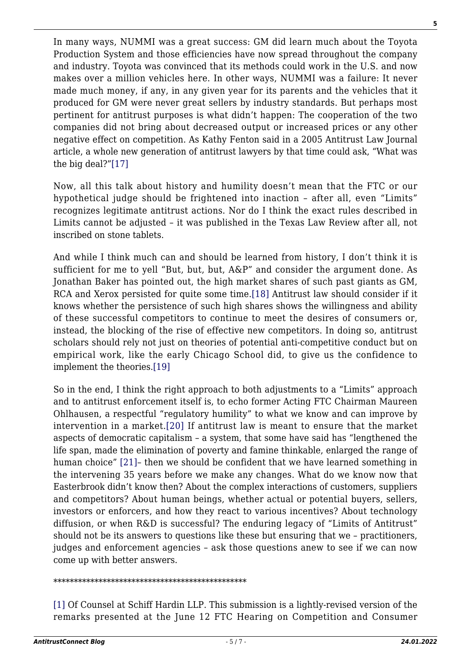In many ways, NUMMI was a great success: GM did learn much about the Toyota Production System and those efficiencies have now spread throughout the company and industry. Toyota was convinced that its methods could work in the U.S. and now makes over a million vehicles here. In other ways, NUMMI was a failure: It never made much money, if any, in any given year for its parents and the vehicles that it produced for GM were never great sellers by industry standards. But perhaps most pertinent for antitrust purposes is what didn't happen: The cooperation of the two companies did not bring about decreased output or increased prices or any other negative effect on competition. As Kathy Fenton said in a 2005 Antitrust Law Journal article, a whole new generation of antitrust lawyers by that time could ask, "What was the big deal?"[\[17\]](#page-5-15)

<span id="page-4-1"></span>Now, all this talk about history and humility doesn't mean that the FTC or our hypothetical judge should be frightened into inaction – after all, even "Limits" recognizes legitimate antitrust actions. Nor do I think the exact rules described in Limits cannot be adjusted – it was published in the Texas Law Review after all, not inscribed on stone tablets.

<span id="page-4-2"></span>And while I think much can and should be learned from history, I don't think it is sufficient for me to yell "But, but, but, A&P" and consider the argument done. As Jonathan Baker has pointed out, the high market shares of such past giants as GM, RCA and Xerox persisted for quite some time[.\[18\]](#page-5-16) Antitrust law should consider if it knows whether the persistence of such high shares shows the willingness and ability of these successful competitors to continue to meet the desires of consumers or, instead, the blocking of the rise of effective new competitors. In doing so, antitrust scholars should rely not just on theories of potential anti-competitive conduct but on empirical work, like the early Chicago School did, to give us the confidence to implement the theories.[\[19\]](#page-6-0)

<span id="page-4-5"></span><span id="page-4-4"></span><span id="page-4-3"></span>So in the end, I think the right approach to both adjustments to a "Limits" approach and to antitrust enforcement itself is, to echo former Acting FTC Chairman Maureen Ohlhausen, a respectful "regulatory humility" to what we know and can improve by intervention in a market.[\[20\]](#page-6-1) If antitrust law is meant to ensure that the market aspects of democratic capitalism – a system, that some have said has "lengthened the life span, made the elimination of poverty and famine thinkable, enlarged the range of human choice" [\[21\]–](#page-6-2) then we should be confident that we have learned something in the intervening 35 years before we make any changes. What do we know now that Easterbrook didn't know then? About the complex interactions of customers, suppliers and competitors? About human beings, whether actual or potential buyers, sellers, investors or enforcers, and how they react to various incentives? About technology diffusion, or when R&D is successful? The enduring legacy of "Limits of Antitrust" should not be its answers to questions like these but ensuring that we – practitioners, judges and enforcement agencies – ask those questions anew to see if we can now come up with better answers.

#### \*\*\*\*\*\*\*\*\*\*\*\*\*\*\*\*\*\*\*\*\*\*\*\*\*\*\*\*\*\*\*\*\*\*\*\*\*\*\*\*\*\*\*\*\*\*\*

<span id="page-4-0"></span>[\[1\]](#page-0-0) Of Counsel at Schiff Hardin LLP. This submission is a lightly-revised version of the remarks presented at the June 12 FTC Hearing on Competition and Consumer **5**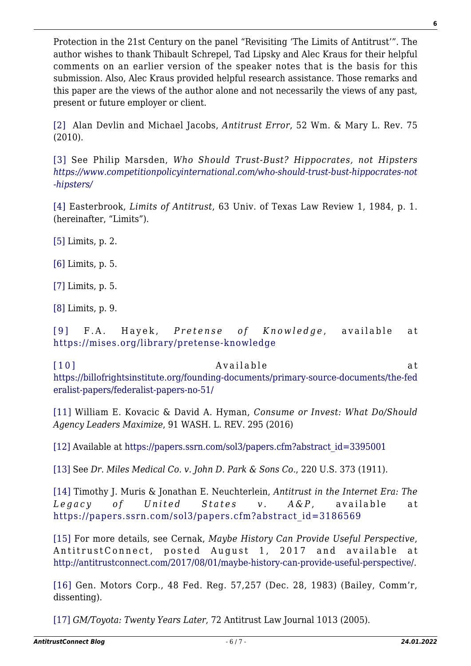Protection in the 21st Century on the panel "Revisiting 'The Limits of Antitrust'". The author wishes to thank Thibault Schrepel, Tad Lipsky and Alec Kraus for their helpful comments on an earlier version of the speaker notes that is the basis for this submission. Also, Alec Kraus provided helpful research assistance. Those remarks and this paper are the views of the author alone and not necessarily the views of any past, present or future employer or client.

<span id="page-5-0"></span>[\[2\]](#page-0-1) Alan Devlin and Michael Jacobs, *Antitrust Error*, 52 Wm. & Mary L. Rev. 75 (2010).

<span id="page-5-1"></span>[\[3\]](#page-0-2) See Philip Marsden, *Who Should Trust-Bust? Hippocrates, not Hipsters [https://www.competitionpolicyinternational.com/who-should-trust-bust-hippocrates-not](https://www.competitionpolicyinternational.com/who-should-trust-bust-hippocrates-not-hipsters/) [-hipsters/](https://www.competitionpolicyinternational.com/who-should-trust-bust-hippocrates-not-hipsters/)*

<span id="page-5-2"></span>[\[4\]](#page-0-3) Easterbrook, *Limits of Antitrust*, 63 Univ. of Texas Law Review 1, 1984, p. 1. (hereinafter, "Limits").

<span id="page-5-3"></span>[\[5\]](#page-0-4) Limits, p. 2.

<span id="page-5-4"></span>[\[6\]](#page-1-0) Limits, p. 5.

<span id="page-5-5"></span>[\[7\]](#page-1-1) Limits, p. 5.

<span id="page-5-6"></span>[\[8\]](#page-1-2) Limits, p. 9.

<span id="page-5-7"></span>[\[9\]](#page-2-0) F.A. Hayek, *Pretense of Knowledge*, available at <https://mises.org/library/pretense-knowledge>

<span id="page-5-8"></span>[\[10\]](#page-2-1) Available at [https://billofrightsinstitute.org/founding-documents/primary-source-documents/the-fed](https://billofrightsinstitute.org/founding-documents/primary-source-documents/the-federalist-papers/federalist-papers-no-51/) [eralist-papers/federalist-papers-no-51/](https://billofrightsinstitute.org/founding-documents/primary-source-documents/the-federalist-papers/federalist-papers-no-51/)

<span id="page-5-9"></span>[\[11\]](#page-2-2) William E. Kovacic & David A. Hyman, *Consume or Invest: What Do/Should Agency Leaders Maximize*, 91 WASH. L. REV. 295 (2016)

<span id="page-5-10"></span>[\[12\]](#page-2-3) Available at [https://papers.ssrn.com/sol3/papers.cfm?abstract\\_id=3395001](https://papers.ssrn.com/sol3/papers.cfm?abstract_id=3395001)

<span id="page-5-11"></span>[\[13\]](#page-2-4) See *Dr. Miles Medical Co. v. John D. Park & Sons Co.*, 220 U.S. 373 (1911).

<span id="page-5-12"></span>[\[14\]](#page-3-0) Timothy J. Muris & Jonathan E. Neuchterlein, *Antitrust in the Internet Era: The* Legacy of United States v. A&P, available at [https://papers.ssrn.com/sol3/papers.cfm?abstract\\_id=3186569](https://papers.ssrn.com/sol3/papers.cfm?abstract_id=3186569)

<span id="page-5-13"></span>[\[15\]](#page-3-1) For more details, see Cernak, *Maybe History Can Provide Useful Perspective*, AntitrustConnect, posted August 1, 2017 and available at <http://antitrustconnect.com/2017/08/01/maybe-history-can-provide-useful-perspective/>.

<span id="page-5-14"></span>[\[16\]](#page-3-2) Gen. Motors Corp., 48 Fed. Reg. 57.257 (Dec. 28, 1983) (Bailey, Comm'r, dissenting).

<span id="page-5-16"></span><span id="page-5-15"></span>[\[17\]](#page-4-1) *GM/Toyota: Twenty Years Later*, 72 Antitrust Law Journal 1013 (2005).